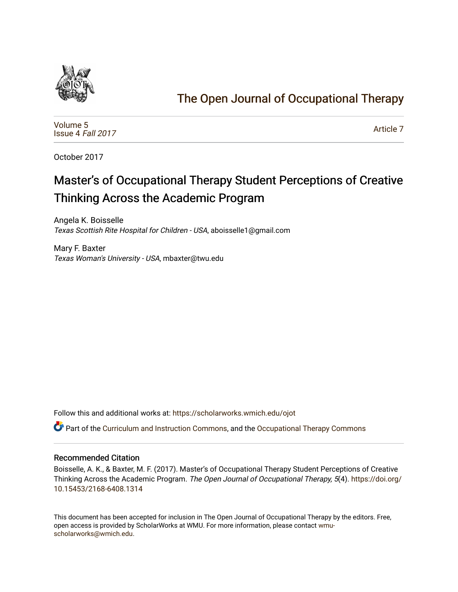

# [The Open Journal of Occupational Therapy](https://scholarworks.wmich.edu/ojot)

[Volume 5](https://scholarworks.wmich.edu/ojot/vol5) [Issue 4](https://scholarworks.wmich.edu/ojot/vol5/iss4) Fall 2017

[Article 7](https://scholarworks.wmich.edu/ojot/vol5/iss4/7) 

October 2017

# Master's of Occupational Therapy Student Perceptions of Creative Thinking Across the Academic Program

Angela K. Boisselle Texas Scottish Rite Hospital for Children - USA, aboisselle1@gmail.com

Mary F. Baxter Texas Woman's University - USA, mbaxter@twu.edu

Follow this and additional works at: [https://scholarworks.wmich.edu/ojot](https://scholarworks.wmich.edu/ojot?utm_source=scholarworks.wmich.edu%2Fojot%2Fvol5%2Fiss4%2F7&utm_medium=PDF&utm_campaign=PDFCoverPages)

Part of the [Curriculum and Instruction Commons,](http://network.bepress.com/hgg/discipline/786?utm_source=scholarworks.wmich.edu%2Fojot%2Fvol5%2Fiss4%2F7&utm_medium=PDF&utm_campaign=PDFCoverPages) and the [Occupational Therapy Commons](http://network.bepress.com/hgg/discipline/752?utm_source=scholarworks.wmich.edu%2Fojot%2Fvol5%2Fiss4%2F7&utm_medium=PDF&utm_campaign=PDFCoverPages)

#### Recommended Citation

Boisselle, A. K., & Baxter, M. F. (2017). Master's of Occupational Therapy Student Perceptions of Creative Thinking Across the Academic Program. The Open Journal of Occupational Therapy, 5(4). [https://doi.org/](https://doi.org/10.15453/2168-6408.1314) [10.15453/2168-6408.1314](https://doi.org/10.15453/2168-6408.1314) 

This document has been accepted for inclusion in The Open Journal of Occupational Therapy by the editors. Free, open access is provided by ScholarWorks at WMU. For more information, please contact [wmu](mailto:wmu-scholarworks@wmich.edu)[scholarworks@wmich.edu.](mailto:wmu-scholarworks@wmich.edu)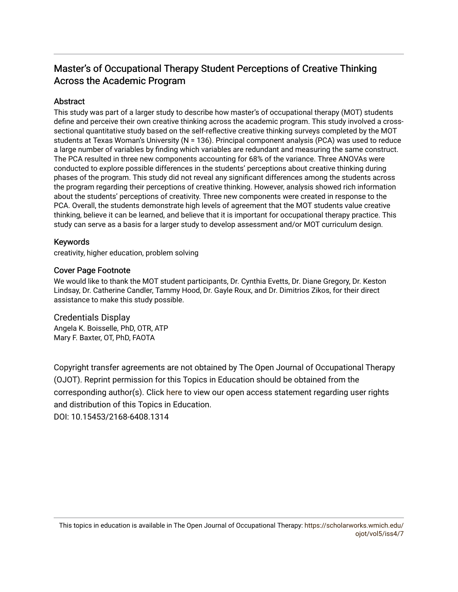# Master's of Occupational Therapy Student Perceptions of Creative Thinking Across the Academic Program

## **Abstract**

This study was part of a larger study to describe how master's of occupational therapy (MOT) students define and perceive their own creative thinking across the academic program. This study involved a crosssectional quantitative study based on the self-reflective creative thinking surveys completed by the MOT students at Texas Woman's University (N = 136). Principal component analysis (PCA) was used to reduce a large number of variables by finding which variables are redundant and measuring the same construct. The PCA resulted in three new components accounting for 68% of the variance. Three ANOVAs were conducted to explore possible differences in the students' perceptions about creative thinking during phases of the program. This study did not reveal any significant differences among the students across the program regarding their perceptions of creative thinking. However, analysis showed rich information about the students' perceptions of creativity. Three new components were created in response to the PCA. Overall, the students demonstrate high levels of agreement that the MOT students value creative thinking, believe it can be learned, and believe that it is important for occupational therapy practice. This study can serve as a basis for a larger study to develop assessment and/or MOT curriculum design.

## Keywords

creativity, higher education, problem solving

## Cover Page Footnote

We would like to thank the MOT student participants, Dr. Cynthia Evetts, Dr. Diane Gregory, Dr. Keston Lindsay, Dr. Catherine Candler, Tammy Hood, Dr. Gayle Roux, and Dr. Dimitrios Zikos, for their direct assistance to make this study possible.

Credentials Display Angela K. Boisselle, PhD, OTR, ATP Mary F. Baxter, OT, PhD, FAOTA

Copyright transfer agreements are not obtained by The Open Journal of Occupational Therapy (OJOT). Reprint permission for this Topics in Education should be obtained from the corresponding author(s). Click [here](https://scholarworks.wmich.edu/ojot/policies.html#rights) to view our open access statement regarding user rights and distribution of this Topics in Education. DOI: 10.15453/2168-6408.1314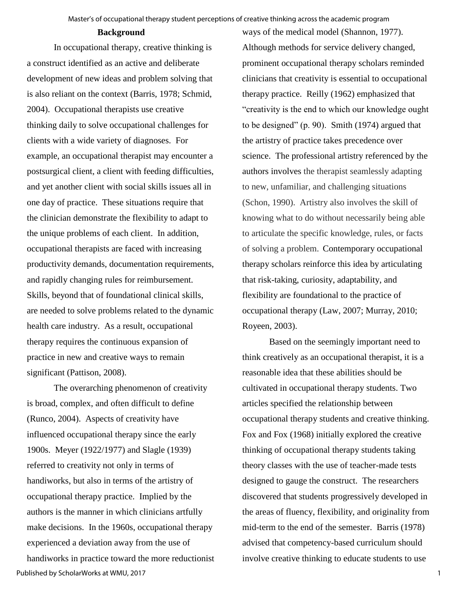#### **Background**

In occupational therapy, creative thinking is a construct identified as an active and deliberate development of new ideas and problem solving that is also reliant on the context (Barris, 1978; Schmid, 2004). Occupational therapists use creative thinking daily to solve occupational challenges for clients with a wide variety of diagnoses. For example, an occupational therapist may encounter a postsurgical client, a client with feeding difficulties, and yet another client with social skills issues all in one day of practice. These situations require that the clinician demonstrate the flexibility to adapt to the unique problems of each client. In addition, occupational therapists are faced with increasing productivity demands, documentation requirements, and rapidly changing rules for reimbursement. Skills, beyond that of foundational clinical skills, are needed to solve problems related to the dynamic health care industry. As a result, occupational therapy requires the continuous expansion of practice in new and creative ways to remain significant (Pattison, 2008).

The overarching phenomenon of creativity is broad, complex, and often difficult to define (Runco, 2004). Aspects of creativity have influenced occupational therapy since the early 1900s. Meyer (1922/1977) and Slagle (1939) referred to creativity not only in terms of handiworks, but also in terms of the artistry of occupational therapy practice. Implied by the authors is the manner in which clinicians artfully make decisions. In the 1960s, occupational therapy experienced a deviation away from the use of handiworks in practice toward the more reductionist ways of the medical model (Shannon, 1977). Although methods for service delivery changed, prominent occupational therapy scholars reminded clinicians that creativity is essential to occupational therapy practice. Reilly (1962) emphasized that "creativity is the end to which our knowledge ought to be designed" (p. 90). Smith (1974) argued that the artistry of practice takes precedence over science. The professional artistry referenced by the authors involves the therapist seamlessly adapting to new, unfamiliar, and challenging situations (Schon, 1990). Artistry also involves the skill of knowing what to do without necessarily being able to articulate the specific knowledge, rules, or facts of solving a problem. Contemporary occupational therapy scholars reinforce this idea by articulating that risk-taking, curiosity, adaptability, and flexibility are foundational to the practice of occupational therapy (Law, 2007; Murray, 2010; Royeen, 2003).

Based on the seemingly important need to think creatively as an occupational therapist, it is a reasonable idea that these abilities should be cultivated in occupational therapy students. Two articles specified the relationship between occupational therapy students and creative thinking. Fox and Fox (1968) initially explored the creative thinking of occupational therapy students taking theory classes with the use of teacher-made tests designed to gauge the construct. The researchers discovered that students progressively developed in the areas of fluency, flexibility, and originality from mid-term to the end of the semester. Barris (1978) advised that competency-based curriculum should involve creative thinking to educate students to use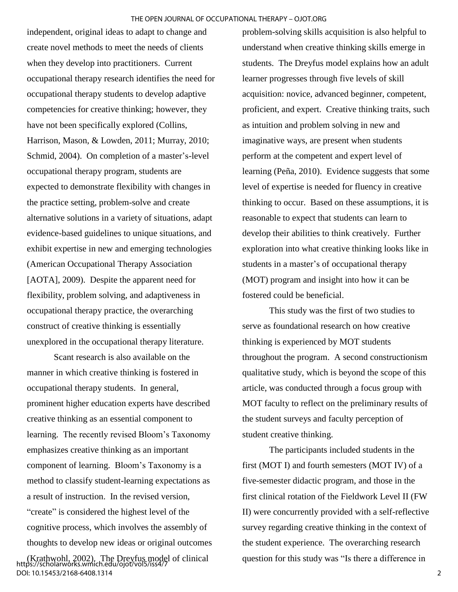independent, original ideas to adapt to change and create novel methods to meet the needs of clients when they develop into practitioners. Current occupational therapy research identifies the need for occupational therapy students to develop adaptive competencies for creative thinking; however, they have not been specifically explored (Collins, Harrison, Mason, & Lowden, 2011; Murray, 2010; Schmid, 2004). On completion of a master's-level occupational therapy program, students are expected to demonstrate flexibility with changes in the practice setting, problem-solve and create alternative solutions in a variety of situations, adapt evidence-based guidelines to unique situations, and exhibit expertise in new and emerging technologies (American Occupational Therapy Association [AOTA], 2009). Despite the apparent need for flexibility, problem solving, and adaptiveness in occupational therapy practice, the overarching construct of creative thinking is essentially unexplored in the occupational therapy literature.

Scant research is also available on the manner in which creative thinking is fostered in occupational therapy students. In general, prominent higher education experts have described creative thinking as an essential component to learning. The recently revised Bloom's Taxonomy emphasizes creative thinking as an important component of learning. Bloom's Taxonomy is a method to classify student-learning expectations as a result of instruction. In the revised version, "create" is considered the highest level of the cognitive process, which involves the assembly of thoughts to develop new ideas or original outcomes

(Krathwohl, 2002). The Dreyfus model of clinical https://scholarworks.wmich.edu/ojot/vol5/iss4/7 DOI: 10.15453/2168-6408.1314

problem-solving skills acquisition is also helpful to understand when creative thinking skills emerge in students. The Dreyfus model explains how an adult learner progresses through five levels of skill acquisition: novice, advanced beginner, competent, proficient, and expert. Creative thinking traits, such as intuition and problem solving in new and imaginative ways, are present when students perform at the competent and expert level of learning (Peña, 2010). Evidence suggests that some level of expertise is needed for fluency in creative thinking to occur. Based on these assumptions, it is reasonable to expect that students can learn to develop their abilities to think creatively. Further exploration into what creative thinking looks like in students in a master's of occupational therapy (MOT) program and insight into how it can be fostered could be beneficial.

This study was the first of two studies to serve as foundational research on how creative thinking is experienced by MOT students throughout the program. A second constructionism qualitative study, which is beyond the scope of this article, was conducted through a focus group with MOT faculty to reflect on the preliminary results of the student surveys and faculty perception of student creative thinking.

The participants included students in the first (MOT I) and fourth semesters (MOT IV) of a five-semester didactic program, and those in the first clinical rotation of the Fieldwork Level II (FW II) were concurrently provided with a self-reflective survey regarding creative thinking in the context of the student experience. The overarching research question for this study was "Is there a difference in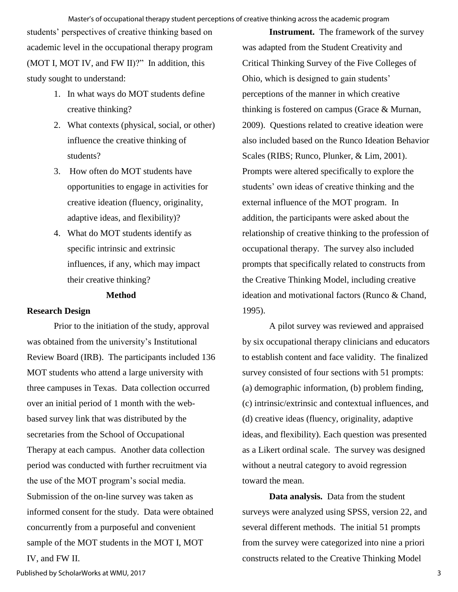#### Master's of occupational therapy student perceptions of creative thinking across the academic program

students' perspectives of creative thinking based on academic level in the occupational therapy program (MOT I, MOT IV, and FW II)?" In addition, this study sought to understand:

- 1. In what ways do MOT students define creative thinking?
- 2. What contexts (physical, social, or other) influence the creative thinking of students?
- 3. How often do MOT students have opportunities to engage in activities for creative ideation (fluency, originality, adaptive ideas, and flexibility)?
- 4. What do MOT students identify as specific intrinsic and extrinsic influences, if any, which may impact their creative thinking?

#### **Method**

#### **Research Design**

Prior to the initiation of the study, approval was obtained from the university's Institutional Review Board (IRB). The participants included 136 MOT students who attend a large university with three campuses in Texas. Data collection occurred over an initial period of 1 month with the webbased survey link that was distributed by the secretaries from the School of Occupational Therapy at each campus. Another data collection period was conducted with further recruitment via the use of the MOT program's social media. Submission of the on-line survey was taken as informed consent for the study. Data were obtained concurrently from a purposeful and convenient sample of the MOT students in the MOT I, MOT IV, and FW II.

**Instrument.** The framework of the survey was adapted from the Student Creativity and Critical Thinking Survey of the Five Colleges of Ohio, which is designed to gain students' perceptions of the manner in which creative thinking is fostered on campus (Grace & Murnan, 2009). Questions related to creative ideation were also included based on the Runco Ideation Behavior Scales (RIBS; Runco, Plunker, & Lim, 2001). Prompts were altered specifically to explore the students' own ideas of creative thinking and the external influence of the MOT program. In addition, the participants were asked about the relationship of creative thinking to the profession of occupational therapy. The survey also included prompts that specifically related to constructs from the Creative Thinking Model, including creative ideation and motivational factors (Runco & Chand, 1995).

A pilot survey was reviewed and appraised by six occupational therapy clinicians and educators to establish content and face validity. The finalized survey consisted of four sections with 51 prompts: (a) demographic information, (b) problem finding, (c) intrinsic/extrinsic and contextual influences, and (d) creative ideas (fluency, originality, adaptive ideas, and flexibility). Each question was presented as a Likert ordinal scale. The survey was designed without a neutral category to avoid regression toward the mean.

**Data analysis.** Data from the student surveys were analyzed using SPSS, version 22, and several different methods. The initial 51 prompts from the survey were categorized into nine a priori constructs related to the Creative Thinking Model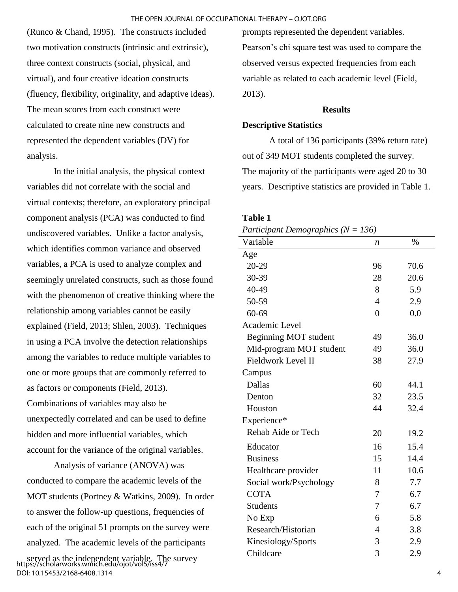(Runco & Chand, 1995). The constructs included two motivation constructs (intrinsic and extrinsic), three context constructs (social, physical, and virtual), and four creative ideation constructs (fluency, flexibility, originality, and adaptive ideas). The mean scores from each construct were calculated to create nine new constructs and represented the dependent variables (DV) for analysis.

In the initial analysis, the physical context variables did not correlate with the social and virtual contexts; therefore, an exploratory principal component analysis (PCA) was conducted to find undiscovered variables. Unlike a factor analysis, which identifies common variance and observed variables, a PCA is used to analyze complex and seemingly unrelated constructs, such as those found with the phenomenon of creative thinking where the relationship among variables cannot be easily explained (Field, 2013; Shlen, 2003). Techniques in using a PCA involve the detection relationships among the variables to reduce multiple variables to one or more groups that are commonly referred to as factors or components (Field, 2013). Combinations of variables may also be unexpectedly correlated and can be used to define hidden and more influential variables, which account for the variance of the original variables.

Analysis of variance (ANOVA) was conducted to compare the academic levels of the MOT students (Portney & Watkins, 2009). In order to answer the follow-up questions, frequencies of each of the original 51 prompts on the survey were analyzed. The academic levels of the participants

served as the independent variable. The survey https://scholarworks.wmich.edu/ojot/vol5/iss4/7 DOI: 10.15453/2168-6408.1314

prompts represented the dependent variables. Pearson's chi square test was used to compare the observed versus expected frequencies from each variable as related to each academic level (Field, 2013).

#### **Results**

#### **Descriptive Statistics**

A total of 136 participants (39% return rate) out of 349 MOT students completed the survey. The majority of the participants were aged 20 to 30 years. Descriptive statistics are provided in Table 1.

#### **Table 1**

| $\mu$ , $\mu$ $\mu$ , $\mu$ $\mu$ $\mu$ $\mu$ $\mu$ $\mu$ , $\mu$ , $\mu$ , $\mu$ , $\mu$ , $\mu$ , $\mu$ , $\mu$ , $\mu$ , $\mu$ , $\mu$ , $\mu$ , $\mu$ , $\mu$ , $\mu$ , $\mu$ , $\mu$ , $\mu$ , $\mu$ , $\mu$ , $\mu$ , $\mu$ , $\mu$ , $\mu$ , $\mu$ , $\mu$ , $\mu$ , $\mu$ , $\mu$ , $\mu$ , |                |      |
|-----------------------------------------------------------------------------------------------------------------------------------------------------------------------------------------------------------------------------------------------------------------------------------------------------|----------------|------|
| Variable                                                                                                                                                                                                                                                                                            | n              | $\%$ |
| Age                                                                                                                                                                                                                                                                                                 |                |      |
| 20-29                                                                                                                                                                                                                                                                                               | 96             | 70.6 |
| 30-39                                                                                                                                                                                                                                                                                               | 28             | 20.6 |
| 40-49                                                                                                                                                                                                                                                                                               | 8              | 5.9  |
| 50-59                                                                                                                                                                                                                                                                                               | $\overline{4}$ | 2.9  |
| $60 - 69$                                                                                                                                                                                                                                                                                           | $\overline{0}$ | 0.0  |
| Academic Level                                                                                                                                                                                                                                                                                      |                |      |
| Beginning MOT student                                                                                                                                                                                                                                                                               | 49             | 36.0 |
| Mid-program MOT student                                                                                                                                                                                                                                                                             | 49             | 36.0 |
| <b>Fieldwork Level II</b>                                                                                                                                                                                                                                                                           | 38             | 27.9 |
| Campus                                                                                                                                                                                                                                                                                              |                |      |
| <b>Dallas</b>                                                                                                                                                                                                                                                                                       | 60             | 44.1 |
| Denton                                                                                                                                                                                                                                                                                              | 32             | 23.5 |
| Houston                                                                                                                                                                                                                                                                                             | 44             | 32.4 |
| Experience*                                                                                                                                                                                                                                                                                         |                |      |
| Rehab Aide or Tech                                                                                                                                                                                                                                                                                  | 20             | 19.2 |
| Educator                                                                                                                                                                                                                                                                                            | 16             | 15.4 |
| <b>Business</b>                                                                                                                                                                                                                                                                                     | 15             | 14.4 |
| Healthcare provider                                                                                                                                                                                                                                                                                 | 11             | 10.6 |
| Social work/Psychology                                                                                                                                                                                                                                                                              | 8              | 7.7  |
| <b>COTA</b>                                                                                                                                                                                                                                                                                         | 7              | 6.7  |
| <b>Students</b>                                                                                                                                                                                                                                                                                     | 7              | 6.7  |
| No Exp                                                                                                                                                                                                                                                                                              | 6              | 5.8  |
| Research/Historian                                                                                                                                                                                                                                                                                  | $\overline{4}$ | 3.8  |
| Kinesiology/Sports                                                                                                                                                                                                                                                                                  | 3              | 2.9  |
| Childcare                                                                                                                                                                                                                                                                                           | 3              | 2.9  |
|                                                                                                                                                                                                                                                                                                     |                |      |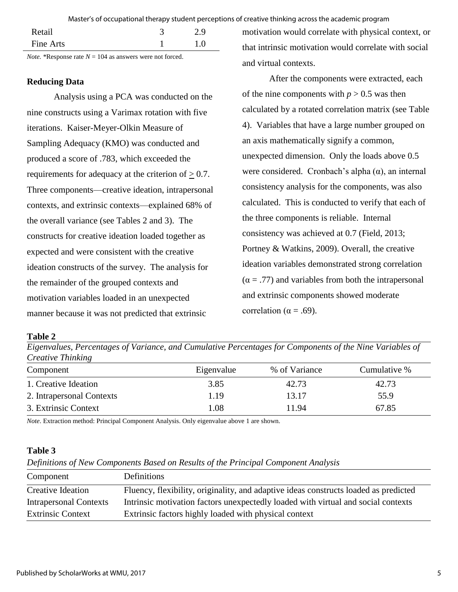Master's of occupational therapy student perceptions of creative thinking across the academic program

|           | $\sim$<br><b>Contract Contract Contract Contract</b> |     |
|-----------|------------------------------------------------------|-----|
| Fine Arts |                                                      | 10  |
| Retail    |                                                      | 2.9 |
|           |                                                      |     |

*Note.* \*Response rate  $N = 104$  as answers were not forced.

# **Reducing Data**

Analysis using a PCA was conducted on the nine constructs using a Varimax rotation with five iterations. Kaiser-Meyer-Olkin Measure of Sampling Adequacy (KMO) was conducted and produced a score of .783, which exceeded the requirements for adequacy at the criterion of  $\geq 0.7$ . Three components—creative ideation, intrapersonal contexts, and extrinsic contexts—explained 68% of the overall variance (see Tables 2 and 3). The constructs for creative ideation loaded together as expected and were consistent with the creative ideation constructs of the survey. The analysis for the remainder of the grouped contexts and motivation variables loaded in an unexpected manner because it was not predicted that extrinsic

motivation would correlate with physical context, or that intrinsic motivation would correlate with social and virtual contexts.

After the components were extracted, each of the nine components with  $p > 0.5$  was then calculated by a rotated correlation matrix (see Table 4). Variables that have a large number grouped on an axis mathematically signify a common, unexpected dimension. Only the loads above 0.5 were considered. Cronbach's alpha  $(\alpha)$ , an internal consistency analysis for the components, was also calculated. This is conducted to verify that each of the three components is reliable. Internal consistency was achieved at 0.7 (Field, 2013; Portney & Watkins, 2009). Overall, the creative ideation variables demonstrated strong correlation  $(\alpha = .77)$  and variables from both the intrapersonal and extrinsic components showed moderate correlation ( $\alpha = .69$ ).

**Table 2**

*Eigenvalues, Percentages of Variance, and Cumulative Percentages for Components of the Nine Variables of Creative Thinking*

| Component                 | Eigenvalue | % of Variance | Cumulative % |
|---------------------------|------------|---------------|--------------|
| 1. Creative Ideation      | 3.85       | 42.73         | 42.73        |
| 2. Intrapersonal Contexts | 1.19       | 13.17         | 55.9         |
| 3. Extrinsic Context      | 1.08       | 11.94         | 67.85        |

*Note*. Extraction method: Principal Component Analysis. Only eigenvalue above 1 are shown.

# **Table 3**

*Definitions of New Components Based on Results of the Principal Component Analysis* 

| Component                     | <b>Definitions</b>                                                                   |
|-------------------------------|--------------------------------------------------------------------------------------|
| Creative Ideation             | Fluency, flexibility, originality, and adaptive ideas constructs loaded as predicted |
| <b>Intrapersonal Contexts</b> | Intrinsic motivation factors unexpectedly loaded with virtual and social contexts    |
| <b>Extrinsic Context</b>      | Extrinsic factors highly loaded with physical context                                |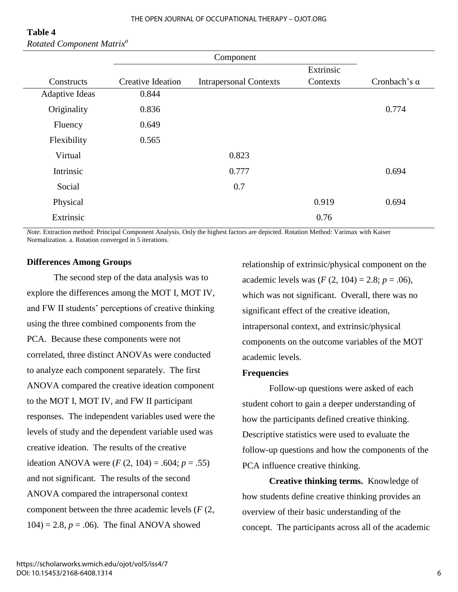| Table 4 |                                       |
|---------|---------------------------------------|
|         | Rotated Component Matrix <sup>a</sup> |

|                       | Component                |                               |           |                     |
|-----------------------|--------------------------|-------------------------------|-----------|---------------------|
|                       |                          |                               | Extrinsic |                     |
| Constructs            | <b>Creative Ideation</b> | <b>Intrapersonal Contexts</b> | Contexts  | Cronbach's $\alpha$ |
| <b>Adaptive Ideas</b> | 0.844                    |                               |           |                     |
| Originality           | 0.836                    |                               |           | 0.774               |
| Fluency               | 0.649                    |                               |           |                     |
| Flexibility           | 0.565                    |                               |           |                     |
| Virtual               |                          | 0.823                         |           |                     |
| Intrinsic             |                          | 0.777                         |           | 0.694               |
| Social                |                          | 0.7                           |           |                     |
| Physical              |                          |                               | 0.919     | 0.694               |
| Extrinsic             |                          |                               | 0.76      |                     |

*Note.* Extraction method: Principal Component Analysis. Only the highest factors are depicted. Rotation Method: Varimax with Kaiser Normalization. a. Rotation converged in 5 iterations.

#### **Differences Among Groups**

 The second step of the data analysis was to explore the differences among the MOT I, MOT IV, and FW II students' perceptions of creative thinking using the three combined components from the PCA. Because these components were not correlated, three distinct ANOVAs were conducted to analyze each component separately. The first ANOVA compared the creative ideation component to the MOT I, MOT IV, and FW II participant responses. The independent variables used were the levels of study and the dependent variable used was creative ideation. The results of the creative ideation ANOVA were  $(F (2, 104) = .604; p = .55)$ and not significant. The results of the second ANOVA compared the intrapersonal context component between the three academic levels (*F* (2,  $104$ ) = 2.8,  $p = .06$ ). The final ANOVA showed

relationship of extrinsic/physical component on the academic levels was  $(F (2, 104) = 2.8; p = .06)$ , which was not significant. Overall, there was no significant effect of the creative ideation, intrapersonal context, and extrinsic/physical components on the outcome variables of the MOT academic levels.

#### **Frequencies**

Follow-up questions were asked of each student cohort to gain a deeper understanding of how the participants defined creative thinking. Descriptive statistics were used to evaluate the follow-up questions and how the components of the PCA influence creative thinking.

**Creative thinking terms.** Knowledge of how students define creative thinking provides an overview of their basic understanding of the concept. The participants across all of the academic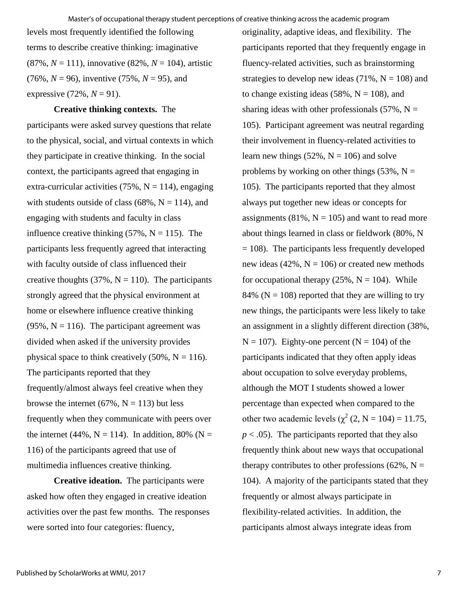levels most frequently identified the following terms to describe creative thinking: imaginative (87%, *N* = 111), innovative (82%, *N* = 104), artistic  $(76\%, N = 96)$ , inventive  $(75\%, N = 95)$ , and expressive  $(72\%, N = 91)$ .

#### **Creative thinking contexts.** The

participants were asked survey questions that relate to the physical, social, and virtual contexts in which they participate in creative thinking. In the social context, the participants agreed that engaging in extra-curricular activities (75%,  $N = 114$ ), engaging with students outside of class (68%,  $N = 114$ ), and engaging with students and faculty in class influence creative thinking  $(57\%, N = 115)$ . The participants less frequently agreed that interacting with faculty outside of class influenced their creative thoughts (37%,  $N = 110$ ). The participants strongly agreed that the physical environment at home or elsewhere influence creative thinking  $(95\%, N = 116)$ . The participant agreement was divided when asked if the university provides physical space to think creatively  $(50\%, N = 116)$ . The participants reported that they frequently/almost always feel creative when they browse the internet (67%,  $N = 113$ ) but less frequently when they communicate with peers over the internet (44%,  $N = 114$ ). In addition, 80% (N = 116) of the participants agreed that use of multimedia influences creative thinking.

**Creative ideation.** The participants were asked how often they engaged in creative ideation activities over the past few months. The responses were sorted into four categories: fluency,

originality, adaptive ideas, and flexibility. The participants reported that they frequently engage in fluency-related activities, such as brainstorming strategies to develop new ideas  $(71\%, N = 108)$  and to change existing ideas (58%,  $N = 108$ ), and sharing ideas with other professionals (57%,  $N =$ 105). Participant agreement was neutral regarding their involvement in fluency-related activities to learn new things  $(52\%, N = 106)$  and solve problems by working on other things  $(53\%, N =$ 105). The participants reported that they almost always put together new ideas or concepts for assignments (81%,  $N = 105$ ) and want to read more about things learned in class or fieldwork (80%, N  $= 108$ ). The participants less frequently developed new ideas (42%,  $N = 106$ ) or created new methods for occupational therapy  $(25\%, N = 104)$ . While 84% ( $N = 108$ ) reported that they are willing to try new things, the participants were less likely to take an assignment in a slightly different direction (38%,  $N = 107$ ). Eighty-one percent ( $N = 104$ ) of the participants indicated that they often apply ideas about occupation to solve everyday problems, although the MOT I students showed a lower percentage than expected when compared to the other two academic levels ( $\chi^2$  (2, N = 104) = 11.75,  $p < .05$ ). The participants reported that they also frequently think about new ways that occupational therapy contributes to other professions (62%,  $N =$ 104). A majority of the participants stated that they frequently or almost always participate in flexibility-related activities. In addition, the participants almost always integrate ideas from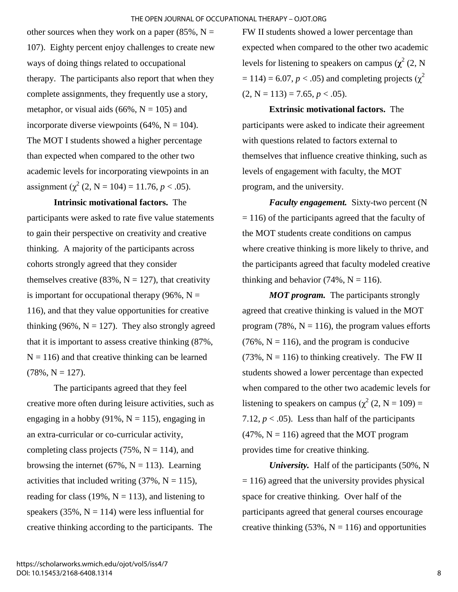other sources when they work on a paper (85%,  $N =$ 107). Eighty percent enjoy challenges to create new ways of doing things related to occupational therapy. The participants also report that when they complete assignments, they frequently use a story, metaphor, or visual aids  $(66\%, N = 105)$  and incorporate diverse viewpoints  $(64\%, N = 104)$ . The MOT I students showed a higher percentage than expected when compared to the other two academic levels for incorporating viewpoints in an assignment  $(\chi^2 (2, N = 104) = 11.76, p < .05)$ .

**Intrinsic motivational factors.** The participants were asked to rate five value statements to gain their perspective on creativity and creative thinking. A majority of the participants across cohorts strongly agreed that they consider themselves creative (83%,  $N = 127$ ), that creativity is important for occupational therapy (96%,  $N =$ 116), and that they value opportunities for creative thinking (96%,  $N = 127$ ). They also strongly agreed that it is important to assess creative thinking (87%,  $N = 116$ ) and that creative thinking can be learned  $(78\%, N = 127).$ 

The participants agreed that they feel creative more often during leisure activities, such as engaging in a hobby (91%,  $N = 115$ ), engaging in an extra-curricular or co-curricular activity, completing class projects  $(75\%, N = 114)$ , and browsing the internet (67%,  $N = 113$ ). Learning activities that included writing  $(37\%, N = 115)$ , reading for class (19%,  $N = 113$ ), and listening to speakers (35%,  $N = 114$ ) were less influential for creative thinking according to the participants. The

FW II students showed a lower percentage than expected when compared to the other two academic levels for listening to speakers on campus  $(\chi^2(2, N))$  $= 114$ ) = 6.07, *p* < .05) and completing projects ( $\gamma^2$  $(2, N = 113) = 7.65, p < .05)$ .

**Extrinsic motivational factors.** The participants were asked to indicate their agreement with questions related to factors external to themselves that influence creative thinking, such as levels of engagement with faculty, the MOT program, and the university.

*Faculty engagement.* Sixty-two percent (N  $= 116$ ) of the participants agreed that the faculty of the MOT students create conditions on campus where creative thinking is more likely to thrive, and the participants agreed that faculty modeled creative thinking and behavior  $(74\%, N = 116)$ .

*MOT program.* The participants strongly agreed that creative thinking is valued in the MOT program (78%,  $N = 116$ ), the program values efforts  $(76\%, N = 116)$ , and the program is conducive  $(73\%, N = 116)$  to thinking creatively. The FW II students showed a lower percentage than expected when compared to the other two academic levels for listening to speakers on campus ( $\chi^2$  (2, N = 109) = 7.12,  $p < .05$ ). Less than half of the participants  $(47\%, N = 116)$  agreed that the MOT program provides time for creative thinking.

*University.* Half of the participants (50%, N  $= 116$ ) agreed that the university provides physical space for creative thinking. Over half of the participants agreed that general courses encourage creative thinking  $(53\%, N = 116)$  and opportunities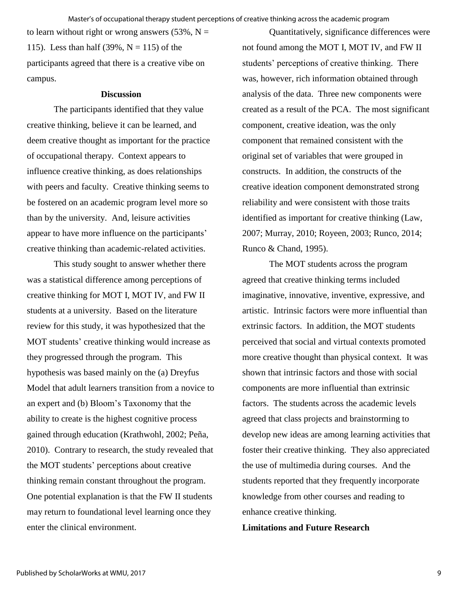to learn without right or wrong answers  $(53\%, N =$ 115). Less than half  $(39\%, N = 115)$  of the participants agreed that there is a creative vibe on campus.

#### **Discussion**

The participants identified that they value creative thinking, believe it can be learned, and deem creative thought as important for the practice of occupational therapy. Context appears to influence creative thinking, as does relationships with peers and faculty. Creative thinking seems to be fostered on an academic program level more so than by the university. And, leisure activities appear to have more influence on the participants' creative thinking than academic-related activities.

This study sought to answer whether there was a statistical difference among perceptions of creative thinking for MOT I, MOT IV, and FW II students at a university. Based on the literature review for this study, it was hypothesized that the MOT students' creative thinking would increase as they progressed through the program. This hypothesis was based mainly on the (a) Dreyfus Model that adult learners transition from a novice to an expert and (b) Bloom's Taxonomy that the ability to create is the highest cognitive process gained through education (Krathwohl, 2002; Peña, 2010). Contrary to research, the study revealed that the MOT students' perceptions about creative thinking remain constant throughout the program. One potential explanation is that the FW II students may return to foundational level learning once they enter the clinical environment.

Quantitatively, significance differences were not found among the MOT I, MOT IV, and FW II students' perceptions of creative thinking. There was, however, rich information obtained through analysis of the data. Three new components were created as a result of the PCA. The most significant component, creative ideation, was the only component that remained consistent with the original set of variables that were grouped in constructs. In addition, the constructs of the creative ideation component demonstrated strong reliability and were consistent with those traits identified as important for creative thinking (Law, 2007; Murray, 2010; Royeen, 2003; Runco, 2014; Runco & Chand, 1995).

The MOT students across the program agreed that creative thinking terms included imaginative, innovative, inventive, expressive, and artistic. Intrinsic factors were more influential than extrinsic factors. In addition, the MOT students perceived that social and virtual contexts promoted more creative thought than physical context. It was shown that intrinsic factors and those with social components are more influential than extrinsic factors. The students across the academic levels agreed that class projects and brainstorming to develop new ideas are among learning activities that foster their creative thinking. They also appreciated the use of multimedia during courses. And the students reported that they frequently incorporate knowledge from other courses and reading to enhance creative thinking.

**Limitations and Future Research**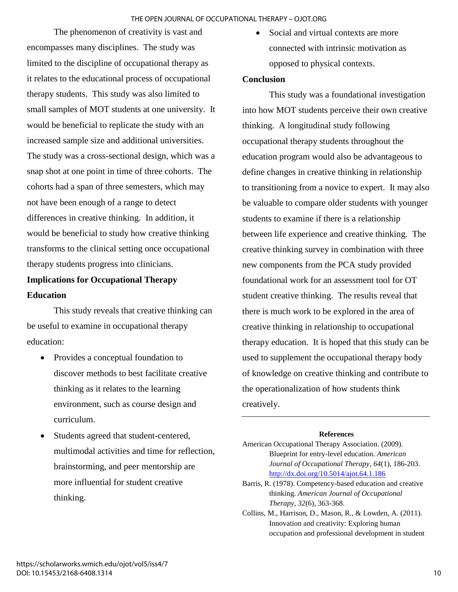The phenomenon of creativity is vast and encompasses many disciplines. The study was limited to the discipline of occupational therapy as it relates to the educational process of occupational therapy students. This study was also limited to small samples of MOT students at one university. It would be beneficial to replicate the study with an increased sample size and additional universities. The study was a cross-sectional design, which was a snap shot at one point in time of three cohorts. The cohorts had a span of three semesters, which may not have been enough of a range to detect differences in creative thinking. In addition, it would be beneficial to study how creative thinking transforms to the clinical setting once occupational therapy students progress into clinicians.

# **Implications for Occupational Therapy Education**

This study reveals that creative thinking can be useful to examine in occupational therapy education:

- Provides a conceptual foundation to discover methods to best facilitate creative thinking as it relates to the learning environment, such as course design and curriculum.
- Students agreed that student-centered, multimodal activities and time for reflection, brainstorming, and peer mentorship are more influential for student creative thinking.

• Social and virtual contexts are more connected with intrinsic motivation as opposed to physical contexts.

## **Conclusion**

This study was a foundational investigation into how MOT students perceive their own creative thinking. A longitudinal study following occupational therapy students throughout the education program would also be advantageous to define changes in creative thinking in relationship to transitioning from a novice to expert. It may also be valuable to compare older students with younger students to examine if there is a relationship between life experience and creative thinking. The creative thinking survey in combination with three new components from the PCA study provided foundational work for an assessment tool for OT student creative thinking. The results reveal that there is much work to be explored in the area of creative thinking in relationship to occupational therapy education. It is hoped that this study can be used to supplement the occupational therapy body of knowledge on creative thinking and contribute to the operationalization of how students think creatively.

#### **References**

- Barris, R. (1978). Competency-based education and creative thinking. *American Journal of Occupational Therapy*, *32*(6), 363-368.
- Collins, M., Harrison, D., Mason, R., & Lowden, A. (2011). Innovation and creativity: Exploring human occupation and professional development in student

American Occupational Therapy Association. (2009). Blueprint for entry-level education. *American Journal of Occupational Therapy*, *64*(1), 186-203. <http://dx.doi.org/10.5014/ajot.64.1.186>